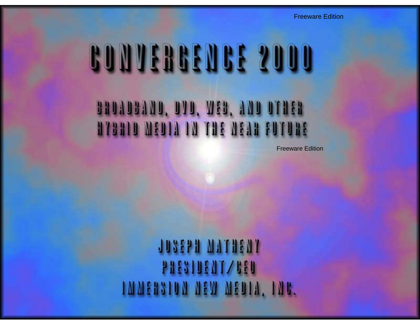Freeware Edition

# BROADBAND, DVD, WEB, AND OTHER **BYBRID MEDIA IN THE NEAR FUTURE**

Freeware Edition

**TASELL WALLENT PRESIDENT/BED TWATERSTON NEW NEOTA, TNB.**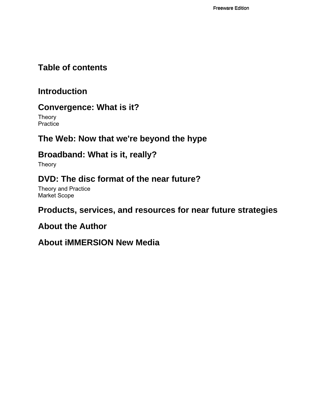#### **Table of contents**

### **Introduction**

## **Convergence: What is it?**

**Theory Practice** 

## **The Web: Now that we're beyond the hype**

## **Broadband: What is it, really?**

Theory

## **DVD: The disc format of the near future?**

Theory and Practice Market Scope

## **Products, services, and resources for near future strategies**

#### **About the Author**

#### **About iMMERSION New Media**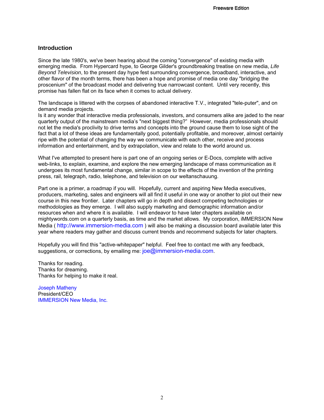#### **Introduction**

Since the late 1980's, we've been hearing about the coming "convergence" of existing media with emerging media. From Hypercard hype, to George Gilder's groundbreaking treatise on new media, *Life Beyond Television*, to the present day hype fest surrounding convergence, broadband, interactive, and other flavor of the month terms, there has been a hope and promise of media one day "bridging the proscenium" of the broadcast model and delivering true narrowcast content. Until very recently, this promise has fallen flat on its face when it comes to actual delivery.

The landscape is littered with the corpses of abandoned interactive T.V., integrated "tele-puter", and on demand media projects.

Is it any wonder that interactive media professionals, investors, and consumers alike are jaded to the near quarterly output of the mainstream media's "next biggest thing?" However, media professionals should not let the media's proclivity to drive terms and concepts into the ground cause them to lose sight of the fact that a lot of these ideas are fundamentally good, potentially profitable, and moreover, almost certainly ripe with the potential of changing the way we communicate with each other, receive and process information and entertainment, and by extrapolation, view and relate to the world around us.

What I've attempted to present here is part one of an ongoing series or E-Docs, complete with active web-links, to explain, examine, and explore the new emerging landscape of mass communication as it undergoes its most fundamental change, similar in scope to the effects of the invention of the printing press, rail, telegraph, radio, telephone, and television on our weltanschauung.

Part one is a primer, a roadmap if you will. Hopefully, current and aspiring New Media executives, producers, marketing, sales and engineers will all find it useful in one way or another to plot out their new course in this new frontier. Later chapters will go in depth and dissect competing technologies or methodologies as they emerge. I will also supply marketing and demographic information and/or resources when and where it is available. I will endeavor to have later chapters available on mightywords.com on a quarterly basis, as time and the market allows. My corporation, iMMERSION New Media ( http://www.immersion-media.com ) will also be making a discussion board available later this year where readers may gather and discuss current trends and recommend subjects for later chapters.

Hopefully you will find this "active-whitepaper" helpful. Feel free to contact me with any feedback, suggestions, or corrections, by emailing me: joe@immersion-media.com.

Thanks for reading. Thanks for dreaming. Thanks for helping to make it real.

Joseph Matheny President/CEO IMMERSION New Media, Inc.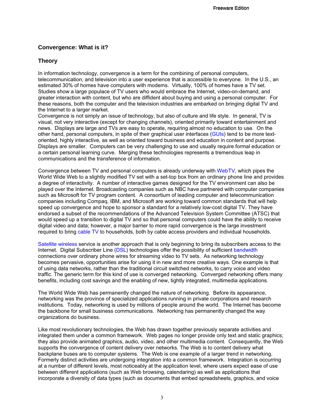#### **Convergence: What is it?**

#### **Theory**

In information technology, convergence is a term for the combining of personal computers, telecommunication, and television into a user experience that is accessible to everyone. In the U.S., an estimated 30% of homes have computers with modems. Virtually, 100% of homes have a TV set. Studies show a large populace of TV users who would embrace the Internet, video-on-demand, and greater interaction with content, but who are diffident about buying and using a personal computer. For these reasons, both the computer and the television industries are embarked on bringing digital TV and the Internet to a larger market.

Convergence is not simply an issue of technology, but also of culture and life style. In general, TV is visual, not very interactive (except for changing channels), oriented primarily toward entertainment and news. Displays are large and TVs are easy to operate, requiring almost no education to use. On the other hand, personal computers, in spite of their graphical user interfaces (GUIs) tend to be more textoriented, highly interactive, as well as oriented toward business and education in content and purpose. Displays are smaller. Computers can be very challenging to use and usually require formal education or a certain personal learning curve. Merging these technologies represents a tremendous leap in communications and the transference of information.

Convergence between TV and personal computers is already underway with WebTV, which pipes the World Wide Web to a slightly modified TV set with a set-top box from an ordinary phone line and provides a degree of interactivity. A number of interactive games designed for the TV environment can also be played over the Internet. Broadcasting companies such as NBC have partnered with computer companies such as Microsoft for TV program content. A consortium of leading computer and telecommunication companies including Compaq, IBM, and Microsoft are working toward common standards that will help speed up convergence and hope to sponsor a standard for a relatively low-cost digital TV. They have endorsed a subset of the recommendations of the Advanced Television System Committee (ATSC) that would speed up a transition to digital TV and so that personal computers could have the ability to receive digital video and data; however, a major barrier to more rapid convergence is the large investment required to bring cable TV to households, both by cable access providers and individual households.

Satellite wireless service is another approach that is only beginning to bring its subscribers access to the Internet. Digital Subscriber Line (DSL) technologies offer the possibility of sufficient bandwidth connections over ordinary phone wires for streaming video to TV sets. As networking technology becomes pervasive, opportunities arise for using it in new and more creative ways. One example is that of using data networks, rather than the traditional circuit switched networks, to carry voice and video traffic. The generic term for this kind of use is converged networking. Converged networking offers many benefits, including cost savings and the enabling of new, tightly integrated, multimedia applications.

The World Wide Web has permanently changed the nature of networking. Before its appearance, networking was the province of specialized applications running in private corporations and research institutions. Today, networking is used by millions of people around the world. The Internet has become the backbone for small business communications. Networking has permanently changed the way organizations do business.

Like most revolutionary technologies, the Web has drawn together previously separate activities and integrated them under a common framework. Web pages no longer provide only text and static graphics; they also provide animated graphics, audio, video, and other multimedia content. Consequently, the Web supports the convergence of content delivery over networks. The Web is to content delivery what backplane buses are to computer systems. The Web is one example of a larger trend in networking. Formerly distinct activities are undergoing integration into a common framework. Integration is occurring at a number of different levels, most noticeably at the application level, where users expect ease of use between different applications (such as Web browsing, calendaring) as well as applications that incorporate a diversity of data types (such as documents that embed spreadsheets, graphics, and voice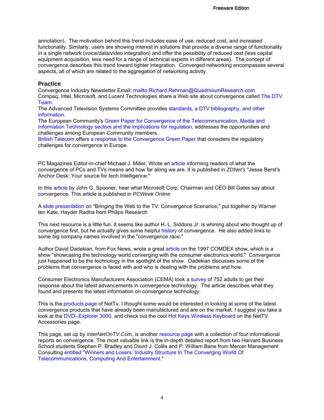annotation). The motivation behind this trend includes ease of use, reduced cost, and increased functionality. Similarly, users are showing interest in solutions that provide a diverse range of functionality in a single network (voice/data/video integration) and offer the possibility of reduced cost (less capital equipment acquisition, less need for a range of technical experts in different areas). The concept of convergence describes this trend toward tighter integration. Converged networking encompasses several aspects, all of which are related to the aggregation of networking activity.

#### **Practice**

Convergence Industry Newsletter Email: mailto:Richard.Rehman@QuadriviumResearch.com Compaq, Intel, Microsoft, and Lucent Technologies share a Web site about convergence called The DTV Team.

The Advanced Television Systems Committee provides standards, a DTV bibliography, and other information.

The European Community's Green Paper for Convergence of the Telecommunication, Media and Information Technology sectors and the implications for regulation, addresses the opportunities and challenges among European Community members.

British Telecom offers a response to the Convergence Green Paper that considers the regulatory challenges for convergence in Europe.

PC Magazines Editor-in-chief Michael J. Miller, Wrote an article informing readers of what the convergence of PCs and TVs means and how far along we are. It is published in *ZDNet's* "Jesse Berst's Anchor Desk: Your source for tech Intelligence."

In this article by John G. Spooner, hear what Microsoft Corp. Chairman and CEO Bill Gates say about convergence. This article is published in *PCWeek Online*

A slide presentation on "Bringing the Web to the TV: Convergence Scenarios," put together by Warner ten Kate, Hayder Radha from Philips Research

This next resource is a little fun. It seems like author H. L. Siddons Jr. is whining about who thought up of convergence first, but he actually gives some helpful history of convergence. He also added links to some big company names involved in the "convergence race."

Author David Dadekian, from Fox News, wrote a great article on the 1997 COMDEX show, which is a show "showcasing the technology world converging with the consumer electronics world." Convergence just happened to be the technology in the spotlight of the show. Dadekian discusses some of the problems that convergence is faced with and who is dealing with the problems and how.

Consumer Electronics Manufacturers Association (CEMA) took a survey of 752 adults to get their response about the latest advancements in convergence technology. The article describes what they found and presents the latest information on convergence technology.

This is the products page of NetTv. I thought some would be interested in looking at some of the latest convergence products that have already been manufactured and are on the market. I suggest you take a look at the DVD--Explorer 3000, and check out the cool Hot Keys Wireless Keyboard on the NetTV Accessories page.

This page, set up by *InterNetOnTV.Com*, is another resource page with a collection of four informational reports on convergence. The most valuable link is the in-depth detailed report from two Harvard Business School students Stephen P. Bradley and David J. Collis and P. William Bane from Mercer Management Consulting entitled "Winners and Losers: Industry Structure In The Converging World Of Telecommunications, Computing And Entertainment."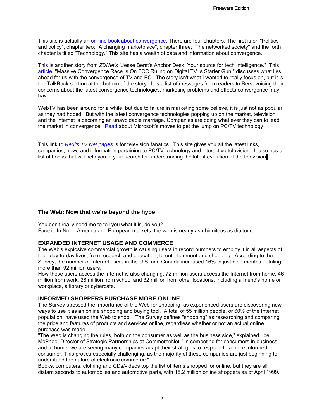This site is actually an on-line book about convergence. There are four chapters. The first is on "Politics and policy", chapter two; "A changing marketplace", chapter three; "The networked society" and the forth chapter is titled "Technology." This site has a wealth of data and information about convergence.

This is another story from *ZDNet's* "Jesse Berst's Anchor Desk: Your source for tech Intelligence." This article, "Massive Convergence Race Is On FCC Ruling on Digital TV Is Starter Gun," discusses what lies ahead for us with the convergence of TV and PC. The story isn't what I wanted to really focus on, but it is the TalkBack section at the bottom of the story. It is a list of messages from readers to Berst voicing their concerns about the latest convergence technologies, marketing problems and effects convergence may have.

WebTV has been around for a while, but due to failure in marketing some believe, it is just not as popular as they had hoped. But with the latest convergence technologies popping up on the market, television and the Internet is becoming an unavoidable marriage. Companies are doing what ever they can to lead the market in convergence. Read about Microsoft's moves to get the jump on PC/TV technology

This link to *Reul's TV Net pages* is for television fanatics. This site gives you all the latest links, companies, news and information pertaining to PC/TV technology and interactive television. It also has a list of books that will help you in your search for understanding the latest evolution of the television.

#### **The Web: Now that we're beyond the hype**

You don't really need me to tell you what it is, do you? Face it. In North America and European markets, the web is nearly as ubiquitous as dialtone.

#### **EXPANDED INTERNET USAGE AND COMMERCE**

The Web's explosive commercial growth is causing users in record numbers to employ it in all aspects of their day-to-day lives, from research and education, to entertainment and shopping. According to the Survey, the number of Internet users in the U.S. and Canada increased 16% in just nine months, totaling more than 92 million users.

How these users access the Internet is also changing: 72 million users access the Internet from home, 46 million from work, 28 million from school and 32 million from other locations, including a friend's home or workplace, a library or cybercafe.

#### **INFORMED SHOPPERS PURCHASE MORE ONLINE**

The Survey stressed the importance of the Web for shopping, as experienced users are discovering new ways to use it as an online shopping and buying tool. A total of 55 million people, or 60% of the Internet population, have used the Web to shop. The Survey defines "shopping" as researching and comparing the price and features of products and services online, regardless whether or not an actual online purchase was made.

"The Web is changing the rules, both on the consumer as well as the business side," explained Loel McPhee, Director of Strategic Partnerships at CommerceNet. "In competing for consumers in business and at home, we are seeing many companies adapt their strategies to respond to a more informed consumer. This proves especially challenging, as the majority of these companies are just beginning to understand the nature of electronic commerce."

Books, computers, clothing and CDs/videos top the list of items shopped for online, but they are all distant seconds to automobiles and automotive parts, with 18.2 million online shoppers as of April 1999.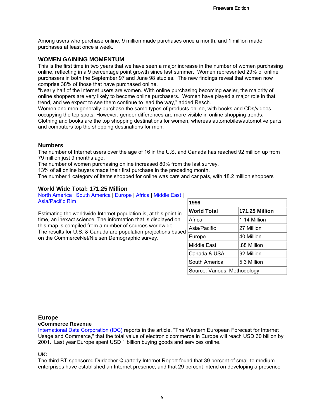Among users who purchase online, 9 million made purchases once a month, and 1 million made purchases at least once a week.

#### **WOMEN GAINING MOMENTUM**

This is the first time in two years that we have seen a major increase in the number of women purchasing online, reflecting in a 9 percentage point growth since last summer. Women represented 29% of online purchasers in both the September 97 and June 98 studies. The new findings reveal that women now comprise 38% of those that have purchased online.

"Nearly half of the Internet users are women. With online purchasing becoming easier, the majority of online shoppers are very likely to become online purchasers. Women have played a major role in that trend, and we expect to see them continue to lead the way," added Resch.

Women and men generally purchase the same types of products online, with books and CDs/videos occupying the top spots. However, gender differences are more visible in online shopping trends. Clothing and books are the top shopping destinations for women, whereas automobiles/automotive parts and computers top the shopping destinations for men.

#### **Numbers**

The number of Internet users over the age of 16 in the U.S. and Canada has reached 92 million up from 79 million just 9 months ago.

The number of women purchasing online increased 80% from the last survey.

13% of all online buyers made their first purchase in the preceding month.

The number 1 category of items shopped for online was cars and car pats, with 18.2 million shoppers

#### **World Wide Total: 171.25 Million**

North America | South America | Europe | Africa | Middle East | Asia/Pacific Rim

Estimating the worldwide Internet population is, at this point in time, an inexact science. The information that is displayed on this map is compiled from a number of sources worldwide. The results for U.S. & Canada are population projections based on the CommerceNet/Nielsen Demographic survey.

| 1999                         |                |  |  |  |
|------------------------------|----------------|--|--|--|
| <b>World Total</b>           | 171.25 Million |  |  |  |
| Africa                       | 1.14 Million   |  |  |  |
| Asia/Pacific                 | 27 Million     |  |  |  |
| Europe                       | 40 Million     |  |  |  |
| Middle East                  | .88 Million    |  |  |  |
| Canada & USA                 | 92 Million     |  |  |  |
| South America                | 5.3 Million    |  |  |  |
| Source: Various; Methodology |                |  |  |  |

#### **Europe**

#### **eCommerce Revenue**

International Data Corporation (IDC) reports in the article, "The Western European Forecast for Internet Usage and Commerce," that the total value of electronic commerce in Europe will reach USD 30 billion by 2001. Last year Europe spent USD 1 billion buying goods and services online.

#### **UK:**

The third BT-sponsored Durlacher Quarterly Internet Report found that 39 percent of small to medium enterprises have established an Internet presence, and that 29 percent intend on developing a presence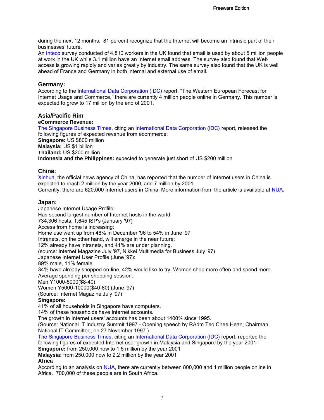during the next 12 months. 81 percent recognize that the Internet will become an intrinsic part of their businesses' future.

An Inteco survey conducted of 4,810 workers in the UK found that email is used by about 5 million people at work in the UK while 3.1 million have an Internet email address. The survey also found that Web access is growing rapidly and varies greatly by industry. The same survey also found that the UK is well ahead of France and Germany in both internal and external use of email.

#### **Germany:**

According to the International Data Corporation (IDC) report, "The Western European Forecast for Internet Usage and Commerce," there are currently 4 million people online in Germany. This number is expected to grow to 17 million by the end of 2001.

#### **Asia/Pacific Rim**

#### **eCommerce Revenue:**

The Singapore Business Times, citing an International Data Corporation (IDC) report, released the following figures of expected revenue from ecommerce: **Singapore:** US \$800 million **Malaysia:** US \$1 billion **Thailand:** US \$200 million **Indonesia and the Philippines:** expected to generate just short of US \$200 million

#### **China:**

Xinhua, the official news agency of China, has reported that the number of Internet users in China is expected to reach 2 million by the year 2000, and 7 million by 2001.

Currently, there are 620,000 Internet users in China. More information from the article is available at NUA.

#### **Japan:**

Japanese Internet Usage Profile: Has second largest number of Internet hosts in the world: 734,306 hosts, 1,645 ISP's (January '97) Access from home is increasing: Home use went up from 48% in December '96 to 54% in June '97 Intranets, on the other hand, will emerge in the near future: 12% already have intranets, and 41% are under planning. (source: Internet Magazine July '97, Nikkei Multimedia for Business July '97) Japanese Internet User Profile (June '97): 89% male, 11% female 34% have already shopped on-line, 42% would like to try. Women shop more often and spend more. Average spending per shopping session: Men Y1000-5000(\$8-40) Women Y5000-10000(\$40-80) (June '97) (Source: Internet Magazine July '97) **Singapore:** 41% of all households in Singapore have computers. 14% of these households have Internet accounts. The growth in Internet users' accounts has been about 1400% since 1995. (Source: National IT Industry Summit 1997 - Opening speech by RAdm Teo Chee Hean, Chairman, National IT Committee, on 27 November 1997.) The Singapore Business Times, citing an International Data Corporation (IDC) report, reported the following figures of expected Internet user growth in Malaysia and Singapore by the year 2001: **Singapore:** from 250,000 now to 1.5 million by the year 2001

**Malaysia:** from 250,000 now to 2.2 million by the year 2001

#### **Africa**

According to an analysis on NUA, there are currently between 800,000 and 1 million people online in Africa. 700,000 of these people are in South Africa.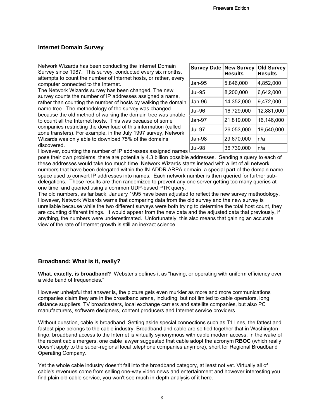#### **Internet Domain Survey**

Network Wizards has been conducting the Internet Domain Survey since 1987. This survey, conducted every six months, attempts to count the number of Internet hosts, or rather, every computer connected to the Internet.

The Network Wizards survey has been changed. The new survey counts the number of IP addresses assigned a name, rather than counting the number of hosts by walking the domain name tree. The methodology of the survey was changed because the old method of walking the domain tree was unable to count all the Internet hosts. This was because of some companies restricting the download of this information (called zone transfers). For example, in the July 1997 survey, Network Wizards was only able to download 75% of the domains discovered.

| <b>Survey Date</b> | <b>New Survey</b><br><b>Results</b> | <b>Old Survey</b><br><b>Results</b> |
|--------------------|-------------------------------------|-------------------------------------|
| $Jan-95$           | 5,846,000                           | 4,852,000                           |
| <b>Jul-95</b>      | 8,200,000                           | 6,642,000                           |
| Jan-96             | 14,352,000                          | 9,472,000                           |
| <b>Jul-96</b>      | 16,729,000                          | 12,881,000                          |
| $Jan-97$           | 21,819,000                          | 16,146,000                          |
| $Jul-97$           | 26,053,000                          | 19,540,000                          |
| Jan-98             | 29,670,000                          | n/a                                 |
| Jul-98             | 36,739,000                          | n/a                                 |

However, counting the number of IP addresses assigned names

pose their own problems: there are potentially 4.3 billion possible addresses. Sending a query to each of these addresses would take too much time. Network Wizards starts instead with a list of all network numbers that have been delegated within the IN-ADDR.ARPA domain, a special part of the domain name space used to convert IP addresses into names. Each network number is then queried for further subdelegations. These results are then randomized to prevent any one server getting too many queries at one time, and queried using a common UDP-based PTR query.

The old numbers, as far back, January 1995 have been adjusted to reflect the new survey methodology. However, Network Wizards warns that comparing data from the old survey and the new survey is unreliable because while the two different surveys were both trying to determine the total host count, they are counting different things. It would appear from the new data and the adjusted data that previously, if anything, the numbers were underestimated. Unfortunately, this also means that gaining an accurate view of the rate of Internet growth is still an inexact science.

#### **Broadband: What is it, really?**

**What, exactly, is broadband?** Webster's defines it as "having, or operating with uniform efficiency over a wide band of frequencies."

However unhelpful that answer is, the picture gets even murkier as more and more communications companies claim they are in the broadband arena, including, but not limited to cable operators, long distance suppliers, TV broadcasters, local exchange carriers and satellite companies, but also PC manufacturers, software designers, content producers and Internet service providers.

Without question, cable is broadband. Setting aside special connections such as T1 lines, the fattest and fastest pipe belongs to the cable industry. Broadband and cable are so tied together that in Washington lingo, broadband access to the Internet is virtually synonymous with cable modem access. In the wake of the recent cable mergers, one cable lawyer suggested that cable adopt the acronym **RBOC** (which really doesn't apply to the super-regional local telephone companies anymore), short for Regional Broadband Operating Company.

Yet the whole cable industry doesn't fall into the broadband category, at least not yet. Virtually all of cable's revenues come from selling one-way video news and entertainment and however interesting you find plain old cable service, you won't see much in-depth analysis of it here.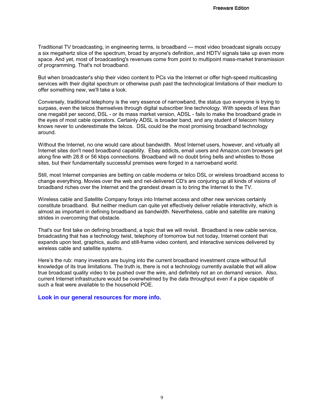Traditional TV broadcasting, in engineering terms, is broadband --- most video broadcast signals occupy a six megahertz slice of the spectrum, broad by anyone's definition, and HDTV signals take up even more space. And yet, most of broadcasting's revenues come from point to multipoint mass-market transmission of programming. That's not broadband.

But when broadcaster's ship their video content to PCs via the Internet or offer high-speed multicasting services with their digital spectrum or otherwise push past the technological limitations of their medium to offer something new, we'll take a look.

Conversely, traditional telephony is the very essence of narrowband, the status quo everyone is trying to surpass, even the telcos themselves through digital subscriber line technology. With speeds of less than one megabit per second, DSL - or its mass market version, ADSL - fails to make the broadband grade in the eyes of most cable operators. Certainly ADSL is broader band, and any student of telecom history knows never to underestimate the telcos. DSL could be the most promising broadband technology around.

Without the Internet, no one would care about bandwidth. Most Internet users, however, and virtually all Internet sites don't need broadband capability. Ebay addicts, email users and Amazon.com browsers get along fine with 28.8 or 56 kbps connections. Broadband will no doubt bring bells and whistles to those sites, but their fundamentally successful premises were forged in a narrowband world.

Still, most Internet companies are betting on cable modems or telco DSL or wireless broadband access to change everything. Movies over the web and net-delivered CD's are conjuring up all kinds of visions of broadband riches over the Internet and the grandest dream is to bring the Internet to the TV.

Wireless cable and Satellite Company forays into Internet access and other new services certainly constitute broadband. But neither medium can quite yet effectively deliver reliable interactivity, which is almost as important in defining broadband as bandwidth. Nevertheless, cable and satellite are making strides in overcoming that obstacle.

That's our first take on defining broadband, a topic that we will revisit. Broadband is new cable service, broadcasting that has a technology twist, telephony of tomorrow but not today, Internet content that expands upon text, graphics, audio and still-frame video content, and interactive services delivered by wireless cable and satellite systems.

Here's the rub: many investors are buying into the current broadband investment craze without full knowledge of its true limitations. The truth is, there is not a technology currently available that will allow true broadcast quality video to be pushed over the wire, and definitely not an on demand version. Also, current Internet infrastructure would be overwhelmed by the data throughput even if a pipe capable of such a feat were available to the household POE.

#### **Look in our general resources for more info.**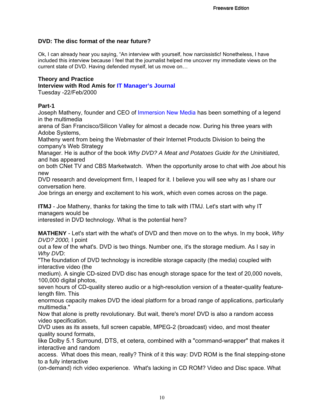#### **DVD: The disc format of the near future?**

Ok, I can already hear you saying, "An interview with yourself, how narcissistic! Nonetheless, I have included this interview because I feel that the journalist helped me uncover my immediate views on the current state of DVD. Having defended myself, let us move on…

#### **Theory and Practice**

**Interview with Rod Amis for IT Manager's Journal**

Tuesday -22/Feb/2000

#### **Part-1**

Joseph Matheny, founder and CEO of Immersion New Media has been something of a legend in the multimedia

arena of San Francisco/Silicon Valley for almost a decade now. During his three years with Adobe Systems,

Matheny went from being the Webmaster of their Internet Products Division to being the company's Web Strategy

Manager. He is author of the book *Why DVD? A Meat and Potatoes Guide for the Uninitiate*d, and has appeared

on both CNet TV and CBS Marketwatch. When the opportunity arose to chat with Joe about his new

DVD research and development firm, I leaped for it. I believe you will see why as I share our conversation here.

Joe brings an energy and excitement to his work, which even comes across on the page.

**ITMJ** - Joe Matheny, thanks for taking the time to talk with ITMJ. Let's start with why IT managers would be

interested in DVD technology. What is the potential here?

**MATHENY** - Let's start with the what's of DVD and then move on to the whys. In my book, *Why DVD? 2000,* I point

out a few of the what's. DVD is two things. Number one, it's the storage medium. As I say in *Why DV*D:

"The foundation of DVD technology is incredible storage capacity (the media) coupled with interactive video (the

medium). A single CD-sized DVD disc has enough storage space for the text of 20,000 novels, 100,000 digital photos,

seven hours of CD-quality stereo audio or a high-resolution version of a theater-quality featurelength film. This

enormous capacity makes DVD the ideal platform for a broad range of applications, particularly multimedia."

Now that alone is pretty revolutionary. But wait, there's more! DVD is also a random access video specification.

DVD uses as its assets, full screen capable, MPEG-2 (broadcast) video, and most theater quality sound formats,

like Dolby 5.1 Surround, DTS, et cetera, combined with a "command-wrapper" that makes it interactive and random

access. What does this mean, really? Think of it this way: DVD ROM is the final stepping-stone to a fully interactive

(on-demand) rich video experience. What's lacking in CD ROM? Video and Disc space. What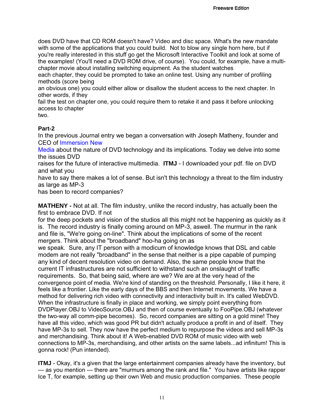does DVD have that CD ROM doesn't have? Video and disc space. What's the new mandate with some of the applications that you could build. Not to blow any single horn here, but if you're really interested in this stuff go get the Microsoft Interactive Toolkit and look at some of the examples! (You'll need a DVD ROM drive, of course). You could, for example, have a multichapter movie about installing switching equipment. As the student watches

each chapter, they could be prompted to take an online test. Using any number of profiling methods (score being

an obvious one) you could either allow or disallow the student access to the next chapter. In other words, if they

fail the test on chapter one, you could require them to retake it and pass it before unlocking access to chapter

two.

#### **Part-2**

In the previous Journal entry we began a conversation with Joseph Matheny, founder and CEO of Immersion New

Media about the nature of DVD technology and its implications. Today we delve into some the issues DVD

raises for the future of interactive multimedia. **ITMJ** - I downloaded your pdf. file on DVD and what you

have to say there makes a lot of sense. But isn't this technology a threat to the film industry as large as MP-3

has been to record companies?

**MATHENY -** Not at all. The film industry, unlike the record industry, has actually been the first to embrace DVD. If not

for the deep pockets and vision of the studios all this might not be happening as quickly as it is. The record industry is finally coming around on MP-3, aswell. The murmur in the rank and file is, "We're going on-line". Think about the implications of some of the recent mergers. Think about the "broadband" hoo-ha going on as

we speak. Sure, any IT person with a modicum of knowledge knows that DSL and cable modem are not really "broadband" in the sense that neither is a pipe capable of pumping any kind of decent resolution video on demand. Also, the same people know that the current IT infrastructures are not sufficient to withstand such an onslaught of traffic requirements. So, that being said, where are we? We are at the very head of the convergence point of media. We're kind of standing on the threshold. Personally, I like it here, it feels like a frontier. Like the early days of the BBS and then Internet movements. We have a method for delivering rich video with connectivity and interactivity built in. It's called WebDVD. When the infrastructure is finally in place and working, we simply point everything from DVDPlayer.OBJ to VideoSource.OBJ and then of course eventually to FooPipe.OBJ (whatever the two-way all comm-pipe becomes). So, record companies are sitting on a gold mine! They have all this video, which was good PR but didn't actually produce a profit in and of itself. They have MP-3s to sell. They now have the perfect medium to repurpose the videos and sell MP-3s and merchandising. Think about it! A Web-enabled DVD ROM of music video with web connections to MP-3s, merchandising, and other artists on the same labels...ad infinitum! This is gonna rock! (Pun intended).

**ITMJ** - Okay, it's a given that the large entertainment companies already have the inventory, but --- as you mention --- there are "murmurs among the rank and file." You have artists like rapper Ice T, for example, setting up their own Web and music production companies. These people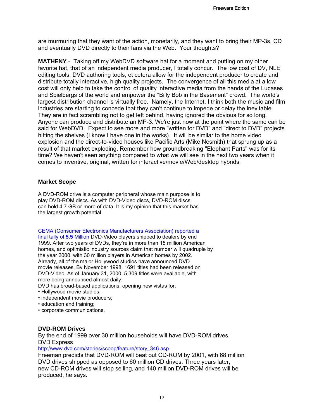are murmuring that they want of the action, monetarily, and they want to bring their MP-3s, CD and eventually DVD directly to their fans via the Web. Your thoughts?

**MATHENY** - Taking off my WebDVD software hat for a moment and putting on my other favorite hat, that of an independent media producer, I totally concur. The low cost of DV, NLE editing tools, DVD authoring tools, et cetera allow for the independent producer to create and distribute totally interactive, high quality projects. The convergence of all this media at a low cost will only help to take the control of quality interactive media from the hands of the Lucases and Spielbergs of the world and empower the "Billy Bob in the Basement" crowd. The world's largest distribution channel is virtually free. Namely, the Internet. I think both the music and film industries are starting to concede that they can't continue to impede or delay the inevitable. They are in fact scrambling not to get left behind, having ignored the obvious for so long. Anyone can produce and distribute an MP-3. We're just now at the point where the same can be said for WebDVD. Expect to see more and more "written for DVD" and "direct to DVD" projects hitting the shelves (I know I have one in the works). It will be similar to the home video explosion and the direct-to-video houses like Pacific Arts (Mike Nesmith) that sprung up as a result of that market exploding. Remember how groundbreaking "Elephant Parts" was for its time? We haven't seen anything compared to what we will see in the next two years when it comes to inventive, original, written for interactive/movie/Web/desktop hybrids.

#### **Market Scope**

A DVD-ROM drive is a computer peripheral whose main purpose is to play DVD-ROM discs. As with DVD-Video discs, DVD-ROM discs can hold 4.7 GB or more of data. It is my opinion that this market has the largest growth potential.

CEMA (Consumer Electronics Manufacturers Association) reported a

final tally of **5.5** Million DVD-Video players shipped to dealers by end 1999. After two years of DVDs, they're in more than 15 million American homes, and optimistic industry sources claim that number will quadruple by the year 2000, with 30 million players in American homes by 2002. Already, all of the major Hollywood studios have announced DVD movie releases. By November 1998, 1691 titles had been released on DVD-Video. As of January 31, 2000, 5,309 titles were available, with more being announced almost daily.

DVD has broad-based applications, opening new vistas for:

- Hollywood movie studios;
- independent movie producers;
- education and training;
- corporate communications.

#### **DVD-ROM Drives**

By the end of 1999 over 30 million households will have DVD-ROM drives. DVD Express

http://www.dvd.com/stories/scoop/feature/story\_346.asp

Freeman predicts that DVD-ROM will beat out CD-ROM by 2001, with 68 million DVD drives shipped as opposed to 60 million CD drives. Three years later, new CD-ROM drives will stop selling, and 140 million DVD-ROM drives will be produced, he says.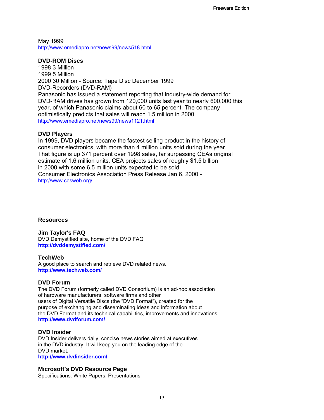May 1999 http://www.emediapro.net/news99/news518.html

#### **DVD-ROM Discs**

1998 3 Million 1999 5 Million 2000 30 Million - Source: Tape Disc December 1999 DVD-Recorders (DVD-RAM) Panasonic has issued a statement reporting that industry-wide demand for DVD-RAM drives has grown from 120,000 units last year to nearly 600,000 this year, of which Panasonic claims about 60 to 65 percent. The company optimistically predicts that sales will reach 1.5 million in 2000. http://www.emediapro.net/news99/news1121.html

#### **DVD Players**

In 1999, DVD players became the fastest selling product in the history of consumer electronics, with more than 4 million units sold during the year. That figure is up 371 percent over 1998 sales, far surpassing CEAs original estimate of 1.6 million units. CEA projects sales of roughly \$1.5 billion in 2000 with some 6.5 million units expected to be sold. Consumer Electronics Association Press Release Jan 6, 2000 http://www.cesweb.org/

#### **Resources**

**Jim Taylor's FAQ** DVD Demystified site, home of the DVD FAQ **http://dvddemystified.com/**

#### **TechWeb**

A good place to search and retrieve DVD related news. **http://www.techweb.com/**

#### **DVD Forum**

The DVD Forum (formerly called DVD Consortium) is an ad-hoc association of hardware manufacturers, software firms and other users of Digital Versatile Discs (the "DVD Format"), created for the purpose of exchanging and disseminating ideas and information about the DVD Format and its technical capabilities, improvements and innovations. **http://www.dvdforum.com/**

#### **DVD Insider**

DVD Insider delivers daily, concise news stories aimed at executives in the DVD industry. It will keep you on the leading edge of the DVD market.

**http://www.dvdinsider.com/**

#### **Microsoft's DVD Resource Page**

Specifications. White Papers. Presentations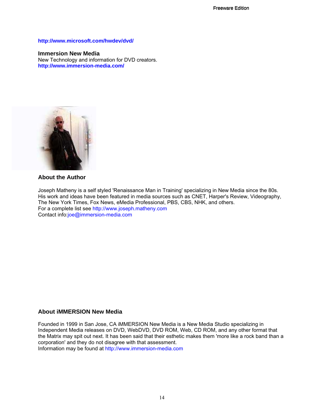#### **http://www.microsoft.com/hwdev/dvd/**

#### **Immersion New Media**

New Technology and information for DVD creators. **http://www.immersion-media.com/**



#### **About the Author**

Joseph Matheny is a self styled 'Renaissance Man in Training' specializing in New Media since the 80s. His work and ideas have been featured in media sources such as CNET, Harper's Review, Videography, The New York Times, Fox News, eMedia Professional, PBS, CBS, NHK, and others. For a complete list see http://www.joseph.matheny.com Contact info:joe@immersion-media.com

#### **About iMMERSION New Media**

Founded in 1999 in San Jose, CA iMMERSION New Media is a New Media Studio specializing in Independent Media releases on DVD, WebDVD, DVD ROM, Web, CD ROM, and any other format that the Matrix may spit out next. It has been said that their esthetic makes them 'more like a rock band than a corporation' and they do not disagree with that assessment.

Information may be found at http://www.immersion-media.com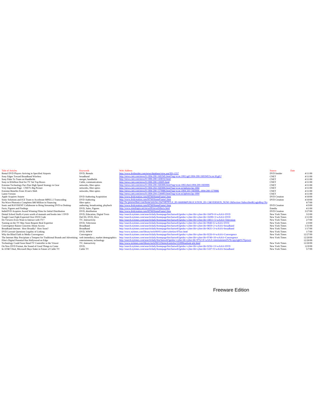| <b>Title of Articles</b>                                                      | <b>Keywords</b>                    | <b>Web Address</b>                                                                                                          | Source                | Date |          |
|-------------------------------------------------------------------------------|------------------------------------|-----------------------------------------------------------------------------------------------------------------------------|-----------------------|------|----------|
| Rental DVD Players Arriving in Specified Airports                             | DVD, Rentals                       | http://www.dvdinsider.com/news/database/view.asp?ID=1557                                                                    | DVD Insider           |      | 4/11/00  |
| Sony Edges Toward Broadband Wireless                                          | broadband                          | http://news.cnet.com/news/0-1004-200-1681945.html?tag=st.ne.1002.tgif.1004-200-1681945?st.ne.fd.gif.f                       | <b>CNET</b>           |      | 4/11/00  |
| Sony Palm To Team on Handhelds                                                | merger, handhelds                  | http://news.cnet.com/news/0-1006-200-1438332.html                                                                           | <b>CNET</b>           |      | 4/11/00  |
| Sony in \$1billion Deal for TV Set Top Boxes                                  | Cable, communications              | http://news.cnet.com/news/0-1006-200-120695.html                                                                            | <b>CNET</b>           |      | 4/11/00  |
| Extreme Technology Pact Puts High Speed Strategy in Gear                      | networks, fibre optics             | http://news.cnet.com/news/0-1004-200-1683006.html?tag=st.ne.1002.thed.1004-200-1683006                                      | <b>CNET</b>           |      | 4/11/00  |
| Very Important Page: CNET's Big Picture                                       | networks, fibre optics             | http://news.cnet.com/news/0-1004-204-1683006.html?tag=st.ne.ni.bpbotxt.bp-1004                                              | <b>CNET</b>           |      | 4/11/00  |
| Extreme Benefits From 3Com's Shift                                            | networks, fibre optics             | http://news.cnet.com/news/0-1004-200-1579986.html?tag=st.ne.1004-203-16830061004-200-1579986                                | <b>CNET</b>           |      | 4/11/00  |
| <b>Latest Version</b>                                                         |                                    | http://news.cnet.com/news/0-1004-204-1544493.html?tag=st.ne.ni.bpbotxt.bp-1004                                              | <b>CNET</b>           |      | 4/11/00  |
| Apple Acquires Astarte                                                        | DVD Authoring Acquisition          | http://www.dvdcreation.com/HTM/HomeFrame1.htm                                                                               | DVD Creation          |      | 4/10/00  |
| Sonic Solutions and ICE Team to Accelerate MPEG-2 Transcoding                 | <b>DVD</b> Authoring               | http://www.dvdcreation.com/HTM/HomeFrame1.htm                                                                               | DVD Creation          |      | 4/10/00  |
| Nu-Wave Photonics Completes \$40 Million in Financing                         | fibre optics                       | http://lw.pennwellnet.com/home/articles.cfm?ARTICLE_ID=66680&PUBLICATION_ID=13&VERSION_NUM=1&Section=Subscriber&LoginReq=No |                       |      | 4/7/00   |
| Sonic and RAVISENT Collaborate to Bring Streaming DVD to Desktop              | authoring, broadcasting, playback  | http://www.dvdcreation.com/HTM/HomeFrame1.htm                                                                               | <b>DVD</b> Creation   |      | 4/3/00   |
| Facts, Figures and Findings                                                   | DVD, Sales, Figures                | http://www.emediapro.net/news00/news04facts.html                                                                            | Emedia                |      | 4/1/00   |
| IndieDVD Acquires Award Winning Films for Initial Distribution                | DVD, distribution                  | http://www.dvdcreation.com/HTM/HomeFrame1.htm                                                                               | DVD Creation          |      | 3/27/00  |
| Dental School Stuffs 4 years worth of manuals and books into 1 DVD            | DVD, Education, Digital Texts      | http://search.nytimes.com/search/daily/homepage/bin/fastweb?getdoc+cyber-lib+cyber-lib+10470+0+wAAA+DVD                     | New York Times        |      | 3/2/00   |
| Tough Court Fight Expected Over DVD Code                                      | DeCSS, DVD, Divx                   | http://search.nytimes.com/search/daily/homepage/bin/fastweb?getdoc+cyber-lib+cyber-lib+10299+3+wAAA+DVD                     | New York Times        |      | 2/11/00  |
| Do Viewers Even Want to Interact with TV?                                     | TV, Interactivity                  | http://search.nytimes.com/search/daily/homepage/bin/fastweb?getdoc+cyber-lib+cyber-lib+10011+5+wAAA+Television              | New York Times        |      | 2/7/00   |
| Turning on the TV May Soon Require Real Expertise                             | DVD. Television                    | http://search.nytimes.com/search/daily/homepage/bin/fastweb?getdoc+cyber-lib+cyber-lib+9940+6+wAAA+DVD                      | <b>New York Times</b> |      | 2/3/00   |
| Convergence Raises Concerns About Access                                      | <b>Broadband</b>                   | http://search.nytimes.com/search/daily/homepage/bin/fastweb?getdoc+cyber-lib+cyber-lib+9859+2+wAAA+broadband                | New York Times        |      | 1/31/00  |
| Broadband Internet: How Broadly? How Soon?                                    | <b>Broadband</b>                   | http://search.nytimes.com/search/daily/homepage/bin/fastweb?getdoc+cyber-lib+cyber-lib+9631+3+wAAA+broadband                | New York Times        |      | 1/17/00  |
| DVD Lawsuit Questions Legality of Linking                                     | DVD, WWW                           | http://www.nytimes.com/library/tech/00/01/cyber/cyberlaw/07law.html                                                         | New York Times        |      | 1/7/00   |
| Why the Blind Faith in Media Convergence                                      | Convergence                        | http://search.nytimes.com/search/daily/homepage/bin/fastweb?getdoc+cyber-lib+cyber-lib+9226+0+wAAA+Convergence              | New York Times        |      | 12/27/99 |
| The Internet May Precipitate a Tempest for Traditional Brands and Advertising | web immediacy, market demographics | http://search.nytimes.com/search/daily/homepage/bin/fastweb?getdoc+cyber-lib+cyber-lib+9749+10+wAAA+Convergence             | <b>New York Times</b> |      | 12/20/99 |
| Film's Digital Potential Has Hollywood on Edge                                | entertainment, technology          | http://search.nytimes.com/search/daily/bin/fastweb?getdoc+cyber-lib+cyber-lib+9752+8+wAAA+entertainment%7Ecopyright%7Epower |                       |      | 12/20/99 |
| Technology Could Soon Hand TV Controller to the Viewer                        | TV, Interactivity                  | http://www.nytimes.com/library/tech/99/12/biztech/articles/122099outlook-tele.html                                          | New York Times        |      | 12/20/99 |
| On New DVD Format, the Sound of Good Things to Come                           | DVD.                               | http://search.nytimes.com/search/daily/homepage/bin/fastweb?getdoc+cyber-lib+cyber-lib+9256+13+wAAA+DVD                     | New York Times        |      | 12/9/99  |
| In AT&T Deal, Microsoft Buys Stake in Future of Cable TV                      | Cable TV                           | http://search.nytimes.com/search/daily/homepage/bin/fastweb?getdoc+cyber-lib+cyber-lib+5107+9+wAAA+broadband                | New York Times        |      | 5/7/99   |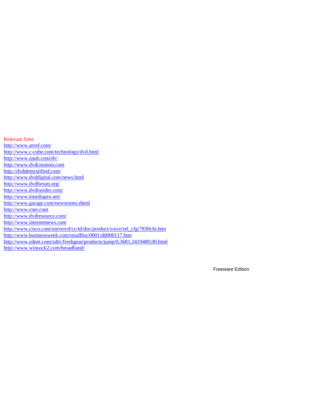Relevant Sites http://www.atvef.com/ http://www.c-cube.com/technology/dvd.html http://www.zpub.com/dv/ http://www.dvdcreation.com http://dvddemystified.com/ http://www.dvddigital.com/news.html http://www.dvdforum.org/ http://www.dvdinsider.com/ http://www.emediapro.net/ http://www.garage.com/newsroom.shtml http://www.cnet.com http://www.dvdresource.com/ http://www.internetnews.com http://www.cisco.com/univercd/cc/td/doc/product/voice/rel\_cfg/7830cfn.htm http://www.businessweek.com/smallbiz/0001/dd000117.htm http://www.zdnet.com/zdtv/freshgear/products/jump/0,3681,2419489,00.html http://www.winsock2.com/broadband/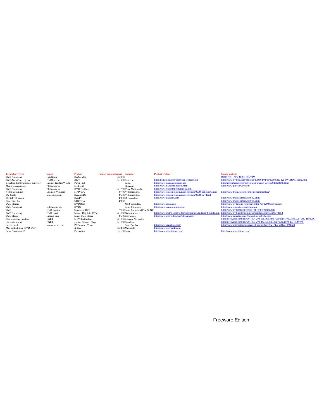Technology/Trend Source Product Product Announcement Company Product Website SCDVD Authoring BetaNews DivX codec SCDD D<br>
DVD-Web Convergence DVD-File.com S/15/000Eisa.com http://home.eisa.<br>
Broadband Entertainment Gateway Video Streaming BusinessWire.com MXProDV 4/7/00Videonics, Inc. http://www.videonics.com/press-releases/00.04-eclipsnow<br>
Digital Television Digital Television Digital Television Digital A3.000 incomes in the three serves r

 $\begin{tabular}{p{0.8cm} \hline \rule{0pt}{2.5mm} \hline \rule{0pt}{2.5mm} \hline \rule{0pt}{2.5mm} \rule{0pt}{2.5mm} \rule{0pt}{2.5mm} \rule{0pt}{2.5mm} \rule{0pt}{2.5mm} \rule{0pt}{2.5mm} \rule{0pt}{2.5mm} \rule{0pt}{2.5mm} \rule{0pt}{2.5mm} \rule{0pt}{2.5mm} \rule{0pt}{2.5mm} \rule{0pt}{2.5mm} \rule{0pt}{2.5mm} \rule{0pt}{2.5mm} \rule{0pt}{2.5mm} \rule{0pt}{2.5mm}$ 

Broadband Entertainment Gateway Internet Product Watch Broadband Entertainment Gateway Internet Courge Product Watch Panja 1000 Panja http://www.panja.com/index.asp http://www.panja http://www.panja http://www.panja http:/ Media Convergence PR Newswire MediaBZ bluezone http://www.bluezone.html http://www.bluezone.net/bz\_html http://www.prnewswire.com<br>DVD Authoring PR Newswire DVD Toolbox 6/17/99Vitec Multimedia http://www.vitecmm.com/index2.

DVD Authoring BetaNews DivX codec 3/20/00 BetaNews - New Threat to DVD? DVD-Web Convergence DVDfile.com iDVD 5/15/00Eisa.com http://home.eisa.com/about/our\_concept.htm http://www.dvdfile.com/editorial/2000/04/04/pc/0000-5910-KEYWORD.Missing.html

- Digital Television DigiTV 4/3/00Divicom,Inc. http://www.divicom.com http://www.multichannel.com/b2.shtml Cable/Satellite STB032xx 4/3/00 http://www.multichannel.com/b3.shtml DVD Storage DVD Raid Net Source, Inc. http://www.asaca.com http://www.dvdshrine.com/story.shtml?id=1290&cat=current DVD Authoring videoguys.com DVDit Sonic Solutions http://www.sonicsolutions.com http://www.videoguys.com/new.htm DVD DVD Creation Streaming DVD 7/1/00Sonic Solutions/RAVISENT http://www.dvdcreation.com/HTM/HomeFrame1.htm DVD Authoring DVD Insider Matrox DigiSuite DTV 4/11/00Daikin/Matrox http://www.matrox.com/videoweb/products/enduser/digisuite.htm http://www.dvdinsider.com/news/database/view.asp?ID=1554
- $\text{DVD Player} \begin{minipage}{0.1\textwidth} \begin{minipage}{0.1\textwidth} \begin{minipage}{0.1\textwidth} \begin{minipage}{0.1\textwidth} \begin{minipage}{0.1\textwidth} \begin{minipage}{0.1\textwidth} \begin{minipage}{0.1\textwidth} \begin{minipage}{0.1\textwidth} \begin{minipage}{0.1\textwidth} \begin{minipage}{0.1\textwidth} \begin{minipage}{0.1\textwidth} \begin{minipage}{0.1\textwidth} \begin{minipage}{0.1\textwidth} \begin{minipage}{0.1\textwidth} \begin{minipage}{0.1\textwidth} \begin{min$

internet radio internet enews.com iM Software Tuner SonicBox Inc. http://www.sonichox.com/ http://www.internetnews.com/prod-news/article/0,2171,9\_338631,00.html<br>Microsoft Sax Dec-9950ny Hup://www.microsoft.com/ http://www.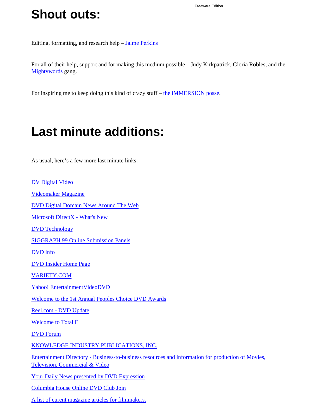## **Shout outs:**

Editing, formatting, and research help – Jaime Perkins

For all of their help, support and for making this medium possible – Judy Kirkpatrick, Gloria Robles, and the Mightywords gang.

For inspiring me to keep doing this kind of crazy stuff – the iMMERSION posse.

# **Last minute additions:**

As usual, here's a few more last minute links:

A list of curent magazine articles for filmmakers.

DV Digital Video Videomaker Magazine DVD Digital Domain News Around The Web Microsoft DirectX - What's New DVD Technology SIGGRAPH 99 Online Submission Panels DVD info DVD Insider Home Page VARIETY.COM Yahoo! EntertainmentVideoDVD Welcome to the 1st Annual Peoples Choice DVD Awards Reel.com - DVD Update Welcome to Total E DVD Forum KNOWLEDGE INDUSTRY PUBLICATIONS, INC. Entertainment Directory - Business-to-business resources and information for production of Movies, Television, Commercial & Video Your Daily News presented by DVD Expression Columbia House Online DVD Club Join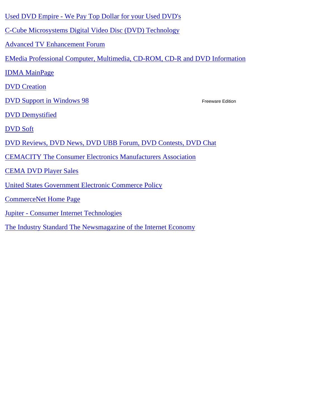- Used DVD Empire We Pay Top Dollar for your Used DVD's
- C-Cube Microsystems Digital Video Disc (DVD) Technology
- Advanced TV Enhancement Forum
- EMedia Professional Computer, Multimedia, CD-ROM, CD-R and DVD Information
- IDMA MainPage
- DVD Creation
- DVD Support in Windows 98

- DVD Demystified
- DVD Soft
- DVD Reviews, DVD News, DVD UBB Forum, DVD Contests, DVD Chat
- CEMACITY The Consumer Electronics Manufacturers Association
- CEMA DVD Player Sales
- United States Government Electronic Commerce Policy
- CommerceNet Home Page
- Jupiter Consumer Internet Technologies
- The Industry Standard The Newsmagazine of the Internet Economy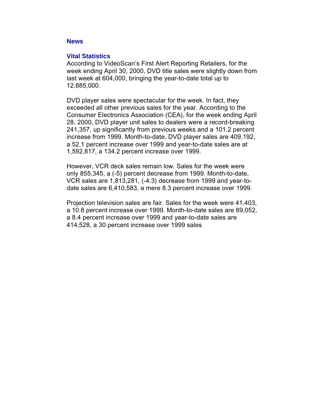#### **News**

#### **Vital Statistics**

According to VideoScan's First Alert Reporting Retailers, for the week ending April 30, 2000, DVD title sales were slightly down from last week at 604,000, bringing the year-to-date total up to 12,885,000.

DVD player sales were spectacular for the week. In fact, they exceeded all other previous sales for the year. According to the Consumer Electronics Association (CEA), for the week ending April 28, 2000, DVD player unit sales to dealers were a record-breaking 241,357, up significantly from previous weeks and a 101.2 percent increase from 1999. Month-to-date, DVD player sales are 409,192, a 52.1 percent increase over 1999 and year-to-date sales are at 1,592,817, a 134.2 percent increase over 1999.

However, VCR deck sales remain low. Sales for the week were only 855,345, a (-5) percent decrease from 1999. Month-to-date, VCR sales are 1,813,281, (-4.3) decrease from 1999 and year-todate sales are 6,410,583, a mere 8.3 percent increase over 1999.

Projection television sales are fair. Sales for the week were 41,403, a 10.8 percent increase over 1999. Month-to-date sales are 89,052, a 8.4 percent increase over 1999 and year-to-date sales are 414,528, a 30 percent increase over 1999 sales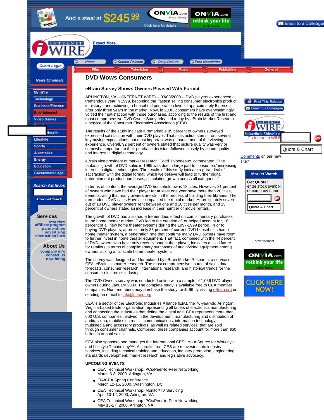



- CEA Technical Workshop: Monitor/TV Servicing April 10-12, 2000, Arlington, VA ●
- CEA Technical Workshop: PCs/Peer-to-Peer Networking May 15-17, 2000, Arlington, VA